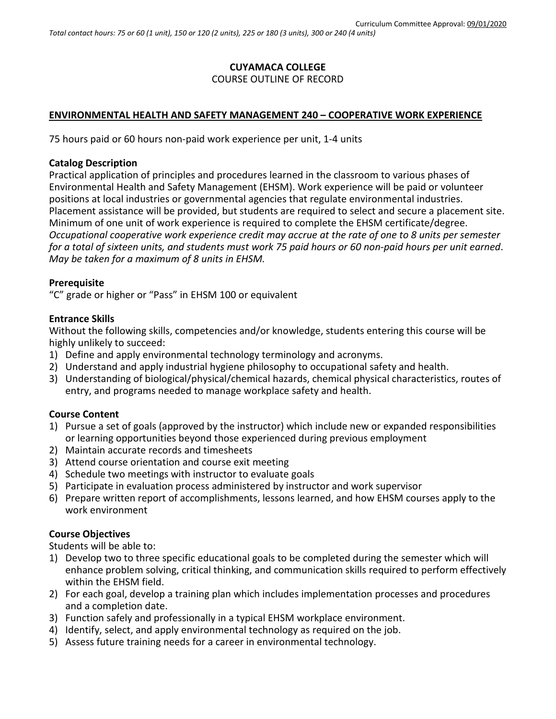# **CUYAMACA COLLEGE** COURSE OUTLINE OF RECORD

# **ENVIRONMENTAL HEALTH AND SAFETY MANAGEMENT 240 – COOPERATIVE WORK EXPERIENCE**

75 hours paid or 60 hours non-paid work experience per unit, 1-4 units

## **Catalog Description**

Practical application of principles and procedures learned in the classroom to various phases of Environmental Health and Safety Management (EHSM). Work experience will be paid or volunteer positions at local industries or governmental agencies that regulate environmental industries. Placement assistance will be provided, but students are required to select and secure a placement site. Minimum of one unit of work experience is required to complete the EHSM certificate/degree. *Occupational cooperative work experience credit may accrue at the rate of one to 8 units per semester for a total of sixteen units, and students must work 75 paid hours or 60 non-paid hours per unit earned*. *May be taken for a maximum of 8 units in EHSM.*

## **Prerequisite**

"C" grade or higher or "Pass" in EHSM 100 or equivalent

## **Entrance Skills**

Without the following skills, competencies and/or knowledge, students entering this course will be highly unlikely to succeed:

- 1) Define and apply environmental technology terminology and acronyms.
- 2) Understand and apply industrial hygiene philosophy to occupational safety and health.
- 3) Understanding of biological/physical/chemical hazards, chemical physical characteristics, routes of entry, and programs needed to manage workplace safety and health.

# **Course Content**

- 1) Pursue a set of goals (approved by the instructor) which include new or expanded responsibilities or learning opportunities beyond those experienced during previous employment
- 2) Maintain accurate records and timesheets
- 3) Attend course orientation and course exit meeting
- 4) Schedule two meetings with instructor to evaluate goals
- 5) Participate in evaluation process administered by instructor and work supervisor
- 6) Prepare written report of accomplishments, lessons learned, and how EHSM courses apply to the work environment

### **Course Objectives**

Students will be able to:

- 1) Develop two to three specific educational goals to be completed during the semester which will enhance problem solving, critical thinking, and communication skills required to perform effectively within the EHSM field.
- 2) For each goal, develop a training plan which includes implementation processes and procedures and a completion date.
- 3) Function safely and professionally in a typical EHSM workplace environment.
- 4) Identify, select, and apply environmental technology as required on the job.
- 5) Assess future training needs for a career in environmental technology.